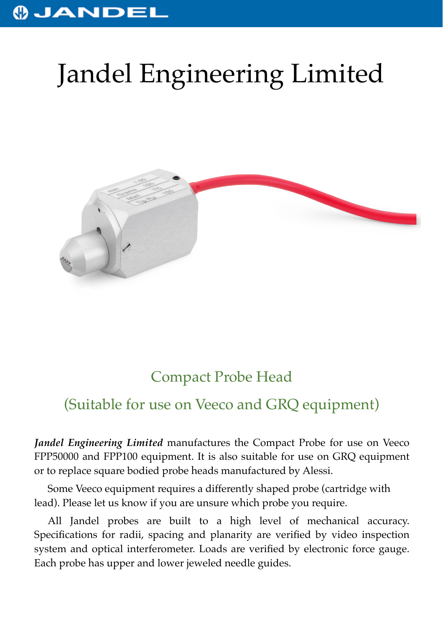## JANDEI

## Jandel Engineering Limited



## Compact Probe Head

## (Suitable for use on Veeco and GRQ equipment)

*Jandel Engineering Limited* manufactures the Compact Probe for use on Veeco FPP50000 and FPP100 equipment. It is also suitable for use on GRQ equipment or to replace square bodied probe heads manufactured by Alessi.

Some Veeco equipment requires a differently shaped probe (cartridge with lead). Please let us know if you are unsure which probe you require.

All Jandel probes are built to a high level of mechanical accuracy. Specifications for radii, spacing and planarity are verified by video inspection system and optical interferometer. Loads are verified by electronic force gauge. Each probe has upper and lower jeweled needle guides.